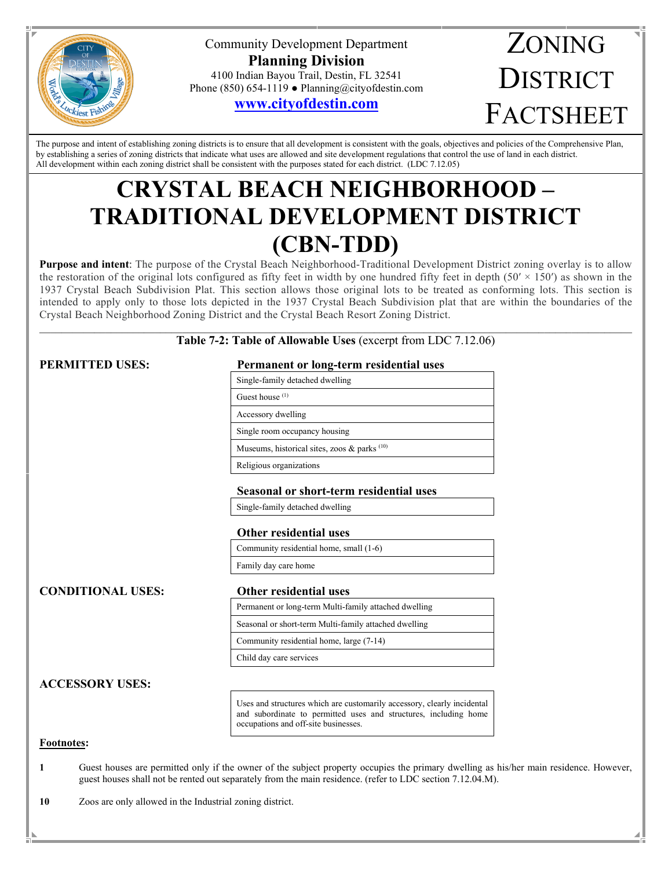

Community Development Department **Planning Division** 4100 Indian Bayou Trail, Destin, FL 32541 Phone (850) 654-1119 ● Planning@cityofdestin.com

## **[www.cityofdestin.com](http://www.cityofdestin.com/index.aspx?nid=91)**

# ZONING **DISTRICT** FACTSHEET

The purpose and intent of establishing zoning districts is to ensure that all development is consistent with the goals, objectives and policies of the Comprehensive Plan, by establishing a series of zoning districts that indicate what uses are allowed and site development regulations that control the use of land in each district. All development within each zoning district shall be consistent with the purposes stated for each district. (LDC 7.12.05)

## **CRYSTAL BEACH NEIGHBORHOOD – TRADITIONAL DEVELOPMENT DISTRICT (CBN-TDD)**

**Purpose and intent**: The purpose of the Crystal Beach Neighborhood-Traditional Development District zoning overlay is to allow the restoration of the original lots configured as fifty feet in width by one hundred fifty feet in depth  $(50' \times 150')$  as shown in the 1937 Crystal Beach Subdivision Plat. This section allows those original lots to be treated as conforming lots. This section is intended to apply only to those lots depicted in the 1937 Crystal Beach Subdivision plat that are within the boundaries of the Crystal Beach Neighborhood Zoning District and the Crystal Beach Resort Zoning District.

#### $\mathcal{L}_\mathcal{L} = \mathcal{L}_\mathcal{L} = \mathcal{L}_\mathcal{L} = \mathcal{L}_\mathcal{L} = \mathcal{L}_\mathcal{L} = \mathcal{L}_\mathcal{L} = \mathcal{L}_\mathcal{L} = \mathcal{L}_\mathcal{L} = \mathcal{L}_\mathcal{L} = \mathcal{L}_\mathcal{L} = \mathcal{L}_\mathcal{L} = \mathcal{L}_\mathcal{L} = \mathcal{L}_\mathcal{L} = \mathcal{L}_\mathcal{L} = \mathcal{L}_\mathcal{L} = \mathcal{L}_\mathcal{L} = \mathcal{L}_\mathcal{L}$ **Table 7-2: Table of Allowable Uses** (excerpt from LDC 7.12.06)

#### **PERMITTED USES: Permanent or long-term residential uses**

| Single-family detached dwelling                            |
|------------------------------------------------------------|
| Guest house $(1)$                                          |
| Accessory dwelling                                         |
| Single room occupancy housing                              |
| Museums, historical sites, zoos $\&$ parks <sup>(10)</sup> |
| Religious organizations                                    |
|                                                            |

#### **Seasonal or short-term residential uses**

Single-family detached dwelling

#### **Other residential uses**

| Community residential home, small (1-6) |  |
|-----------------------------------------|--|
| Family day care home                    |  |
|                                         |  |

### **CONDITIONAL USES: Other residential uses**

Permanent or long-term Multi-family attached dwelling

Seasonal or short-term Multi-family attached dwelling

Community residential home, large (7-14)

Child day care services

### **ACCESSORY USES:**

Uses and structures which are customarily accessory, clearly incidental and subordinate to permitted uses and structures, including home occupations and off-site businesses.

#### **Footnotes:**

**1** Guest houses are permitted only if the owner of the subject property occupies the primary dwelling as his/her main residence. However, guest houses shall not be rented out separately from the main residence. (refer to LDC section 7.12.04.M).

**10** Zoos are only allowed in the Industrial zoning district.